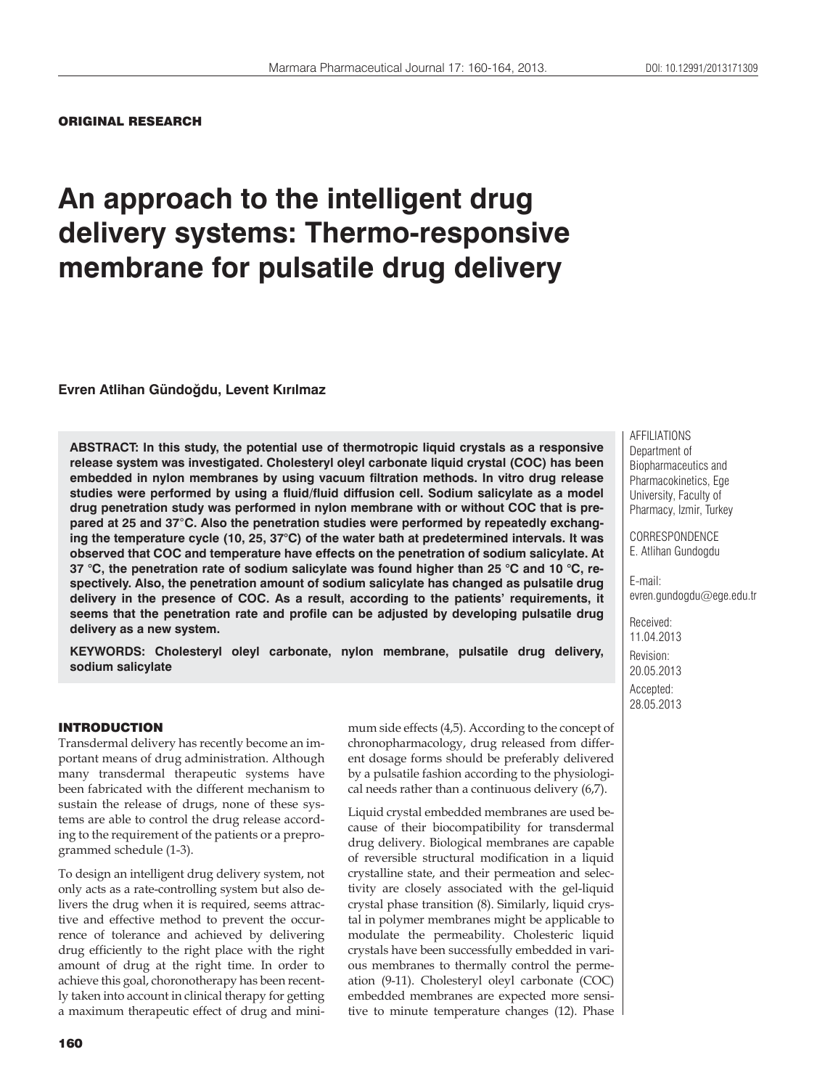#### ORIGINAL RESEARCH

# **An approach to the intelligent drug delivery systems: Thermo-responsive membrane for pulsatile drug delivery**

**Evren Atlihan Gündoğdu, Levent Kırılmaz**

**ABSTRACT: In this study, the potential use of thermotropic liquid crystals as a responsive release system was investigated. Cholesteryl oleyl carbonate liquid crystal (COC) has been embedded in nylon membranes by using vacuum filtration methods. In vitro drug release studies were performed by using a fluid/fluid diffusion cell. Sodium salicylate as a model drug penetration study was performed in nylon membrane with or without COC that is prepared at 25 and 37**°**C. Also the penetration studies were performed by repeatedly exchanging the temperature cycle (10, 25, 37°C) of the water bath at predetermined intervals. It was observed that COC and temperature have effects on the penetration of sodium salicylate. At 37 °C, the penetration rate of sodium salicylate was found higher than 25 °C and 10 °C, respectively. Also, the penetration amount of sodium salicylate has changed as pulsatile drug delivery in the presence of COC. As a result, according to the patients' requirements, it seems that the penetration rate and profile can be adjusted by developing pulsatile drug delivery as a new system.**

**KEYWORDS: Cholesteryl oleyl carbonate, nylon membrane, pulsatile drug delivery, sodium salicylate**

## INTRODUCTION

Transdermal delivery has recently become an important means of drug administration. Although many transdermal therapeutic systems have been fabricated with the different mechanism to sustain the release of drugs, none of these systems are able to control the drug release according to the requirement of the patients or a preprogrammed schedule (1-3).

To design an intelligent drug delivery system, not only acts as a rate-controlling system but also delivers the drug when it is required, seems attractive and effective method to prevent the occurrence of tolerance and achieved by delivering drug efficiently to the right place with the right amount of drug at the right time. In order to achieve this goal, choronotherapy has been recently taken into account in clinical therapy for getting a maximum therapeutic effect of drug and mini-

mum side effects (4,5). According to the concept of chronopharmacology, drug released from different dosage forms should be preferably delivered by a pulsatile fashion according to the physiological needs rather than a continuous delivery (6,7).

Liquid crystal embedded membranes are used because of their biocompatibility for transdermal drug delivery. Biological membranes are capable of reversible structural modification in a liquid crystalline state, and their permeation and selectivity are closely associated with the gel-liquid crystal phase transition (8). Similarly, liquid crystal in polymer membranes might be applicable to modulate the permeability. Cholesteric liquid crystals have been successfully embedded in various membranes to thermally control the permeation (9-11). Cholesteryl oleyl carbonate (COC) embedded membranes are expected more sensitive to minute temperature changes (12). Phase

AFFILIATIONS Department of Biopharmaceutics and Pharmacokinetics, Ege University, Faculty of Pharmacy, Izmir, Turkey

CORRESPONDENCE E. Atlihan Gundogdu

E-mail: evren.gundogdu@ege.edu.tr

Received: 11.04.2013 Revision: 20.05.2013 Accepted: 28.05.2013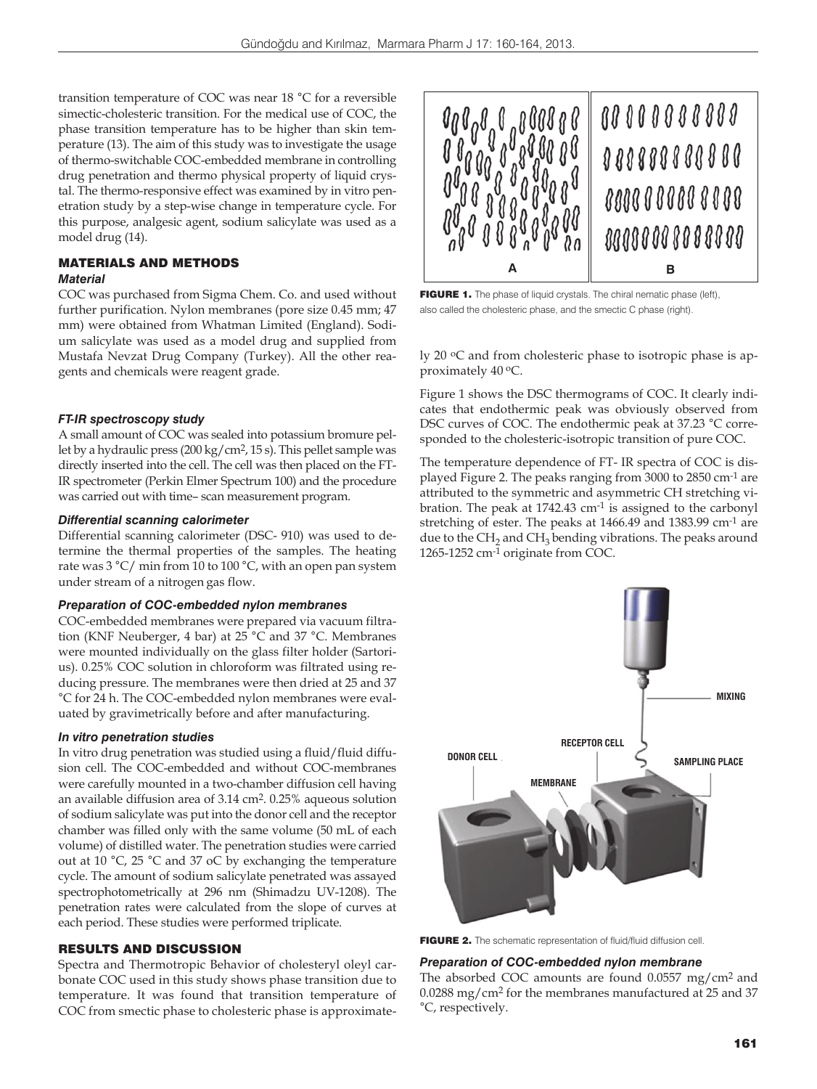transition temperature of COC was near 18 °C for a reversible simectic-cholesteric transition. For the medical use of COC, the phase transition temperature has to be higher than skin temperature (13). The aim of this study was to investigate the usage of thermo-switchable COC-embedded membrane in controlling drug penetration and thermo physical property of liquid crystal. The thermo-responsive effect was examined by in vitro penetration study by a step-wise change in temperature cycle. For this purpose, analgesic agent, sodium salicylate was used as a model drug (14).

### MATERIALS AND METHODS *Material*

COC was purchased from Sigma Chem. Co. and used without further purification. Nylon membranes (pore size 0.45 mm; 47 mm) were obtained from Whatman Limited (England). Sodium salicylate was used as a model drug and supplied from Mustafa Nevzat Drug Company (Turkey). All the other reagents and chemicals were reagent grade.

## *FT-IR spectroscopy study*

A small amount of COC was sealed into potassium bromure pellet by a hydraulic press (200 kg/cm2, 15 s). This pellet sample was directly inserted into the cell. The cell was then placed on the FT-IR spectrometer (Perkin Elmer Spectrum 100) and the procedure was carried out with time– scan measurement program.

#### *Differential scanning calorimeter*

Differential scanning calorimeter (DSC- 910) was used to determine the thermal properties of the samples. The heating rate was 3 °C/ min from 10 to 100 °C, with an open pan system under stream of a nitrogen gas flow.

## *Preparation of COC-embedded nylon membranes*

COC-embedded membranes were prepared via vacuum filtration (KNF Neuberger, 4 bar) at 25 °C and 37 °C. Membranes were mounted individually on the glass filter holder (Sartorius). 0.25% COC solution in chloroform was filtrated using reducing pressure. The membranes were then dried at 25 and 37 °C for 24 h. The COC-embedded nylon membranes were evaluated by gravimetrically before and after manufacturing.

## *In vitro penetration studies*

In vitro drug penetration was studied using a fluid/fluid diffusion cell. The COC-embedded and without COC-membranes were carefully mounted in a two-chamber diffusion cell having an available diffusion area of 3.14 cm2. 0.25% aqueous solution of sodium salicylate was put into the donor cell and the receptor chamber was filled only with the same volume (50 mL of each volume) of distilled water. The penetration studies were carried out at 10 °C, 25 °C and 37 oC by exchanging the temperature cycle. The amount of sodium salicylate penetrated was assayed spectrophotometrically at 296 nm (Shimadzu UV-1208). The penetration rates were calculated from the slope of curves at each period. These studies were performed triplicate.

## RESULTS AND DISCUSSION

Spectra and Thermotropic Behavior of cholesteryl oleyl carbonate COC used in this study shows phase transition due to temperature. It was found that transition temperature of COC from smectic phase to cholesteric phase is approximate-



FIGURE 1. The phase of liquid crystals. The chiral nematic phase (left), also called the cholesteric phase, and the smectic C phase (right).

ly 20 oC and from cholesteric phase to isotropic phase is approximately 40 oC.

Figure 1 shows the DSC thermograms of COC. It clearly indicates that endothermic peak was obviously observed from DSC curves of COC. The endothermic peak at 37.23 °C corresponded to the cholesteric-isotropic transition of pure COC.

The temperature dependence of FT- IR spectra of COC is displayed Figure 2. The peaks ranging from 3000 to 2850 cm-1 are attributed to the symmetric and asymmetric CH stretching vibration. The peak at 1742.43 cm-1 is assigned to the carbonyl stretching of ester. The peaks at 1466.49 and 1383.99 cm-1 are due to the  $CH<sub>2</sub>$  and  $CH<sub>3</sub>$  bending vibrations. The peaks around 1265-1252 cm-1 originate from COC.



FIGURE 2. The schematic representation of fluid/fluid diffusion cell.

## *Preparation of COC-embedded nylon membrane*

The absorbed COC amounts are found 0.0557 mg/cm2 and 0.0288 mg/cm2 for the membranes manufactured at 25 and 37 °C, respectively.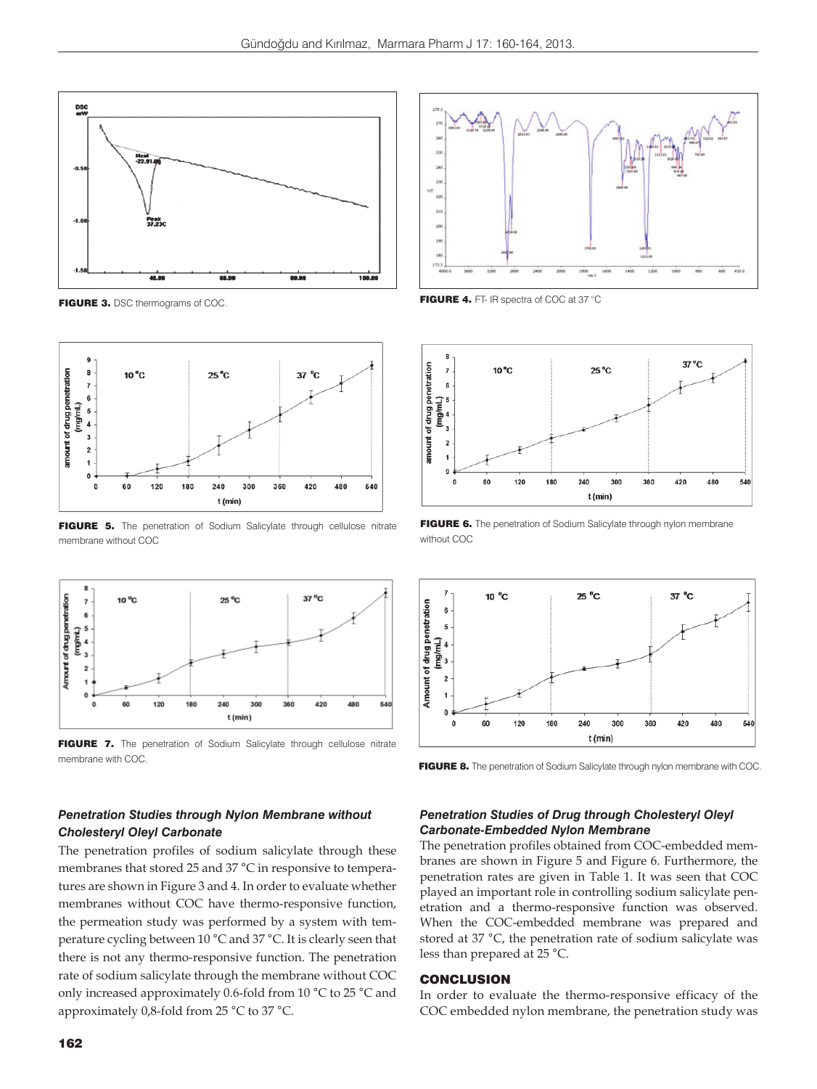



FIGURE 5. The penetration of Sodium Salicylate through cellulose nitrate membrane without COC



FIGURE 7. The penetration of Sodium Salicylate through cellulose nitrate membrane with COC.

# *Penetration Studies through Nylon Membrane without Cholesteryl Oleyl Carbonate*

The penetration profiles of sodium salicylate through these membranes that stored 25 and 37 °C in responsive to temperatures are shown in Figure 3 and 4. In order to evaluate whether membranes without COC have thermo-responsive function, the permeation study was performed by a system with temperature cycling between 10 °C and 37 °C. It is clearly seen that there is not any thermo-responsive function. The penetration rate of sodium salicylate through the membrane without COC only increased approximately 0.6-fold from 10 °C to 25 °C and approximately 0,8-fold from 25 °C to 37 °C.





FIGURE 6. The penetration of Sodium Salicylate through nylon membrane without COC



FIGURE 8. The penetration of Sodium Salicylate through nylon membrane with COC.

### *Penetration Studies of Drug through Cholesteryl Oleyl Carbonate-Embedded Nylon Membrane*

The penetration profiles obtained from COC-embedded membranes are shown in Figure 5 and Figure 6. Furthermore, the penetration rates are given in Table 1. It was seen that COC played an important role in controlling sodium salicylate penetration and a thermo-responsive function was observed. When the COC-embedded membrane was prepared and stored at 37 °C, the penetration rate of sodium salicylate was less than prepared at 25 °C.

## **CONCLUSION**

In order to evaluate the thermo-responsive efficacy of the COC embedded nylon membrane, the penetration study was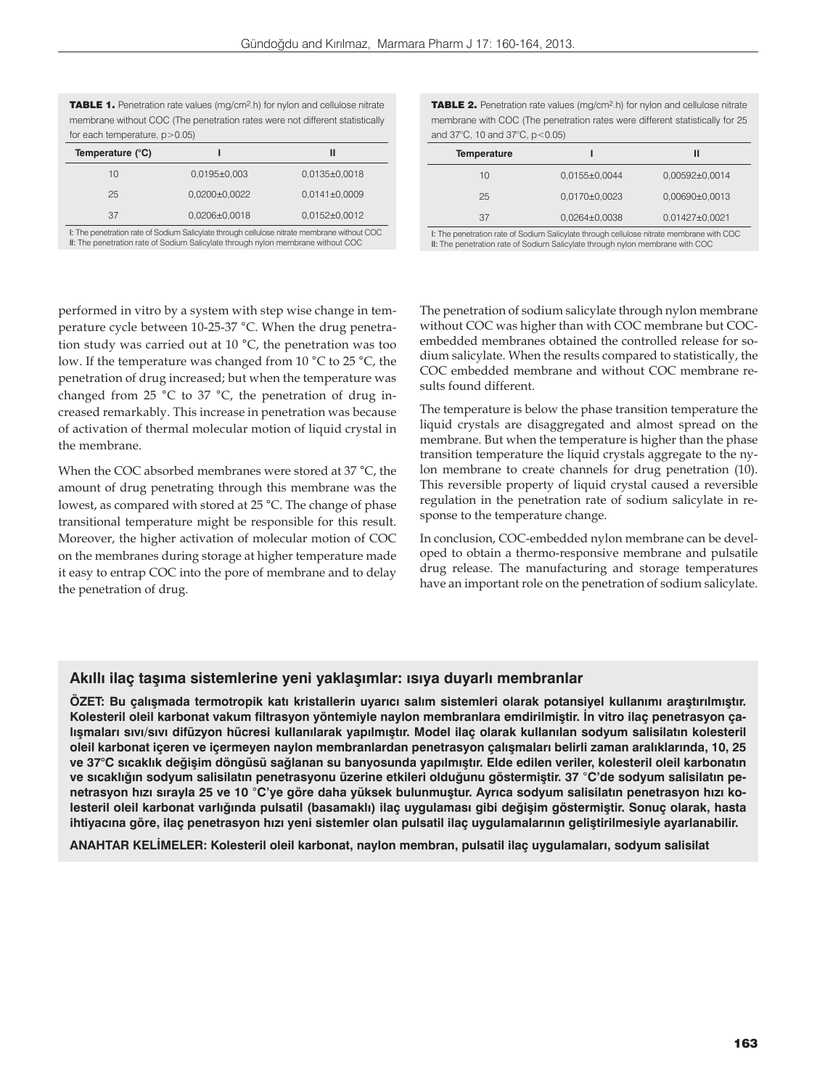| <b>TABLE 1.</b> Penetration rate values (mg/cm <sup>2</sup> .h) for nylon and cellulose nitrate |                     |                     |  |
|-------------------------------------------------------------------------------------------------|---------------------|---------------------|--|
| membrane without COC (The penetration rates were not different statistically                    |                     |                     |  |
| for each temperature, $p > 0.05$ )                                                              |                     |                     |  |
| Temperature (°C)                                                                                |                     | Ш                   |  |
| 10                                                                                              | $0,0195\pm0,003$    | $0,0135\pm0,0018$   |  |
| 25                                                                                              | $0.0200 \pm 0.0022$ | $0,0141\pm0,0009$   |  |
| 37                                                                                              | $0.0206 \pm 0.0018$ | $0.0152 \pm 0.0012$ |  |

I: The penetration rate of Sodium Salicylate through cellulose nitrate membrane without COC II: The penetration rate of Sodium Salicylate through nylon membrane without COC

TABLE 2. Penetration rate values (mg/cm2.h) for nylon and cellulose nitrate membrane with COC (The penetration rates were different statistically for 25 and 37 $^{\circ}$ C, 10 and 37 $^{\circ}$ C, p $<$ 0.05)

| <b>Temperature</b>                                                                       |                   | Ш                  |  |
|------------------------------------------------------------------------------------------|-------------------|--------------------|--|
| 10                                                                                       | $0,0155\pm0,0044$ | $0,00592\pm0,0014$ |  |
| 25                                                                                       | $0,0170\pm0,0023$ | $0,00690\pm0,0013$ |  |
| 37                                                                                       | $0,0264\pm0,0038$ | 0,01427±0,0021     |  |
| I: The penetration rate of Sodium Salicylate through cellulose nitrate membrane with COC |                   |                    |  |

I: The penetration rate of Sodium Salicylate through cellulose nitrate membrane with COC II: The penetration rate of Sodium Salicylate through nylon membrane with COC

performed in vitro by a system with step wise change in temperature cycle between 10-25-37 °C. When the drug penetration study was carried out at 10 °C, the penetration was too low. If the temperature was changed from 10 °C to 25 °C, the penetration of drug increased; but when the temperature was changed from 25 °C to 37 °C, the penetration of drug increased remarkably. This increase in penetration was because of activation of thermal molecular motion of liquid crystal in the membrane.

When the COC absorbed membranes were stored at 37 °C, the amount of drug penetrating through this membrane was the lowest, as compared with stored at 25 °C. The change of phase transitional temperature might be responsible for this result. Moreover, the higher activation of molecular motion of COC on the membranes during storage at higher temperature made it easy to entrap COC into the pore of membrane and to delay the penetration of drug.

The penetration of sodium salicylate through nylon membrane without COC was higher than with COC membrane but COCembedded membranes obtained the controlled release for sodium salicylate. When the results compared to statistically, the COC embedded membrane and without COC membrane results found different.

The temperature is below the phase transition temperature the liquid crystals are disaggregated and almost spread on the membrane. But when the temperature is higher than the phase transition temperature the liquid crystals aggregate to the nylon membrane to create channels for drug penetration (10). This reversible property of liquid crystal caused a reversible regulation in the penetration rate of sodium salicylate in response to the temperature change.

In conclusion, COC-embedded nylon membrane can be developed to obtain a thermo-responsive membrane and pulsatile drug release. The manufacturing and storage temperatures have an important role on the penetration of sodium salicylate.

## **Akıllı ilaç taşıma sistemlerine yeni yaklaşımlar: ısıya duyarlı membranlar**

**ÖZET: Bu çalışmada termotropik katı kristallerin uyarıcı salım sistemleri olarak potansiyel kullanımı araştırılmıştır. Kolesteril oleil karbonat vakum filtrasyon yöntemiyle naylon membranlara emdirilmiştir. İn vitro ilaç penetrasyon çalışmaları sıvı/sıvı difüzyon hücresi kullanılarak yapılmıştır. Model ilaç olarak kullanılan sodyum salisilatın kolesteril oleil karbonat içeren ve içermeyen naylon membranlardan penetrasyon çalışmaları belirli zaman aralıklarında, 10, 25 ve 37°C sıcaklık değişim döngüsü sağlanan su banyosunda yapılmıştır. Elde edilen veriler, kolesteril oleil karbonatın ve sıcaklığın sodyum salisilatın penetrasyonu üzerine etkileri olduğunu göstermiştir. 37** °**C'de sodyum salisilatın penetrasyon hızı sırayla 25 ve 10** °**C'ye göre daha yüksek bulunmuştur. Ayrıca sodyum salisilatın penetrasyon hızı kolesteril oleil karbonat varlığında pulsatil (basamaklı) ilaç uygulaması gibi değişim göstermiştir. Sonuç olarak, hasta ihtiyacına göre, ilaç penetrasyon hızı yeni sistemler olan pulsatil ilaç uygulamalarının geliştirilmesiyle ayarlanabilir.**

**ANAHTAR KELİMELER: Kolesteril oleil karbonat, naylon membran, pulsatil ilaç uygulamaları, sodyum salisilat**